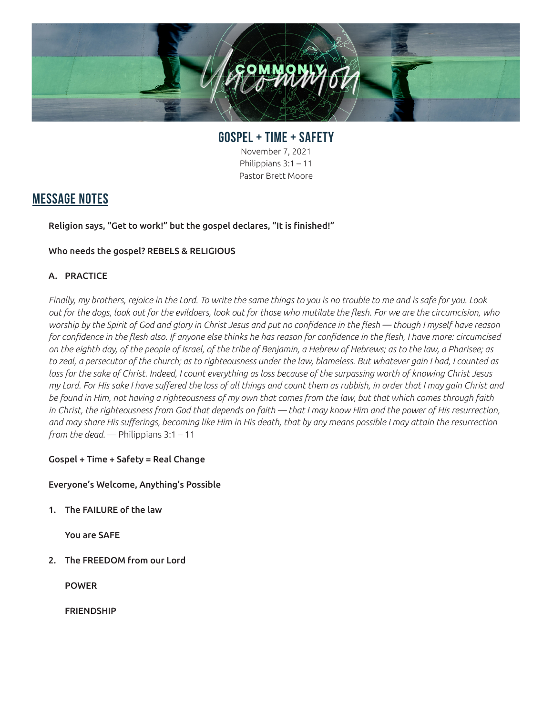

**GOSPEL + TIME + SAFETY** November 7, 2021 Philippians 3:1 – 11 Pastor Brett Moore

# **MESSAGE NOTES**

Religion says, "Get to work!" but the gospel declares, "It is finished!"

## Who needs the gospel? REBELS & RELIGIOUS

## A. PRACTICE

*Finally, my brothers, rejoice in the Lord. To write the same things to you is no trouble to me and is safe for you. Look out for the dogs, look out for the evildoers, look out for those who mutilate the flesh. For we are the circumcision, who worship by the Spirit of God and glory in Christ Jesus and put no confidence in the flesh — though I myself have reason for confidence in the flesh also. If anyone else thinks he has reason for confidence in the flesh, I have more: circumcised on the eighth day, of the people of Israel, of the tribe of Benjamin, a Hebrew of Hebrews; as to the law, a Pharisee; as to zeal, a persecutor of the church; as to righteousness under the law, blameless. But whatever gain I had, I counted as loss for the sake of Christ. Indeed, I count everything as loss because of the surpassing worth of knowing Christ Jesus my Lord. For His sake I have suffered the loss of all things and count them as rubbish, in order that I may gain Christ and be found in Him, not having a righteousness of my own that comes from the law, but that which comes through faith*  in Christ, the righteousness from God that depends on faith — that I may know Him and the power of His resurrection, *and may share His sufferings, becoming like Him in His death, that by any means possible I may attain the resurrection from the dead.* — Philippians 3:1 – 11

#### Gospel + Time + Safety = Real Change

#### Everyone's Welcome, Anything's Possible

1. The FAILURE of the law

You are SAFE

2. The FREEDOM from our Lord

POWER

FRIENDSHIP